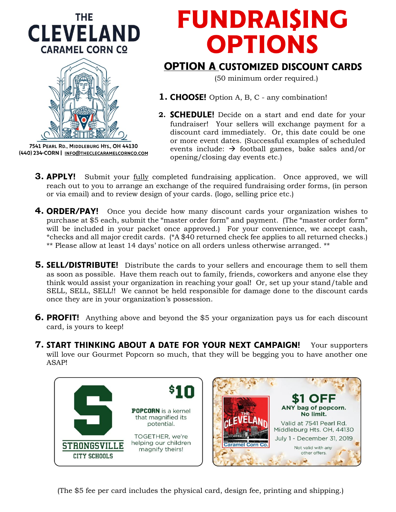



7541 PEARL RD., MIDDLEBURG HTS., OH 44130 (440) 234-CORN | INFO@THECLECARAMELCORNCO.COM

# **FUNDRAISING OPTIONS**

### **OPTION A CUSTOMIZED DISCOUNT CARDS**

(50 minimum order required.)

- **1. CHOOSE!** Option A, B, C any combination!
- **2. SCHEDULE!** Decide on a start and end date for your fundraiser! Your sellers will exchange payment for a discount card immediately. Or, this date could be one or more event dates. (Successful examples of scheduled events include:  $\rightarrow$  football games, bake sales and/or opening/closing day events etc.)
- **3. APPLY!** Submit your fully completed fundraising application. Once approved, we will reach out to you to arrange an exchange of the required fundraising order forms, (in person or via email) and to review design of your cards. (logo, selling price etc.)
- **4. ORDER/PAY!** Once you decide how many discount cards your organization wishes to purchase at \$5 each, submit the "master order form" and payment. (The "master order form" will be included in your packet once approved.) For your convenience, we accept cash, \*checks and all major credit cards. (\*A \$40 returned check fee applies to all returned checks.) \*\* Please allow at least 14 days' notice on all orders unless otherwise arranged. \*\*
- **5. SELL/DISTRIBUTE!** Distribute the cards to your sellers and encourage them to sell them as soon as possible. Have them reach out to family, friends, coworkers and anyone else they think would assist your organization in reaching your goal! Or, set up your stand/table and SELL, SELL, SELL!! We cannot be held responsible for damage done to the discount cards once they are in your organization's possession.
- **6. PROFIT!** Anything above and beyond the \$5 your organization pays us for each discount card, is yours to keep!
- **7. START THINKING ABOUT A DATE FOR YOUR NEXT CAMPAIGN!** Your supporters will love our Gourmet Popcorn so much, that they will be begging you to have another one ASAP!



(The \$5 fee per card includes the physical card, design fee, printing and shipping.)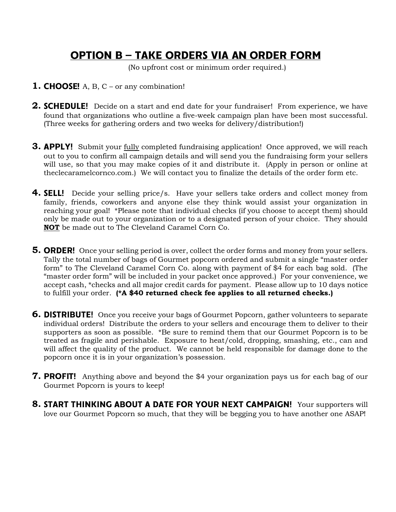## **OPTION B - TAKE ORDERS VIA AN ORDER FORM**

(No upfront cost or minimum order required.)

- **1. CHOOSE!** A, B, C or any combination!
- **2. SCHEDULE!** Decide on a start and end date for your fundraiser! From experience, we have found that organizations who outline a five-week campaign plan have been most successful. (Three weeks for gathering orders and two weeks for delivery/distribution!)
- **3. APPLY!** Submit your fully completed fundraising application! Once approved, we will reach out to you to confirm all campaign details and will send you the fundraising form your sellers will use, so that you may make copies of it and distribute it. (Apply in person or online at theclecaramelcornco.com.) We will contact you to finalize the details of the order form etc.
- **4. SELL!** Decide your selling price/s. Have your sellers take orders and collect money from family, friends, coworkers and anyone else they think would assist your organization in reaching your goal! \*Please note that individual checks (if you choose to accept them) should only be made out to your organization or to a designated person of your choice. They should **NOT** be made out to The Cleveland Caramel Corn Co.
- **5. ORDER!** Once your selling period is over, collect the order forms and money from your sellers. Tally the total number of bags of Gourmet popcorn ordered and submit a single "master order form" to The Cleveland Caramel Corn Co. along with payment of \$4 for each bag sold. (The "master order form" will be included in your packet once approved.) For your convenience, we accept cash, \*checks and all major credit cards for payment. Please allow up to 10 days notice to fulfill your order. **(\*A \$40 returned check fee applies to all returned checks.)**
- **6. DISTRIBUTE!** Once you receive your bags of Gourmet Popcorn, gather volunteers to separate individual orders! Distribute the orders to your sellers and encourage them to deliver to their supporters as soon as possible. \*Be sure to remind them that our Gourmet Popcorn is to be treated as fragile and perishable. Exposure to heat/cold, dropping, smashing, etc., can and will affect the quality of the product. We cannot be held responsible for damage done to the popcorn once it is in your organization's possession.
- **7. PROFIT!** Anything above and beyond the \$4 your organization pays us for each bag of our Gourmet Popcorn is yours to keep!
- 8. START THINKING ABOUT A DATE FOR YOUR NEXT CAMPAIGN! Your supporters will love our Gourmet Popcorn so much, that they will be begging you to have another one ASAP!